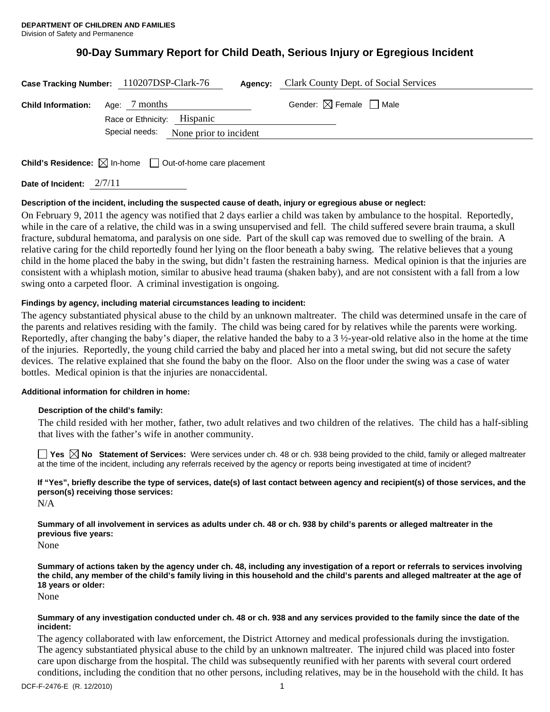# **90-Day Summary Report for Child Death, Serious Injury or Egregious Incident**

| Clark County Dept. of Social Services<br>Case Tracking Number: 110207DSP-Clark-76<br>Agency: |                                                                                          |                                        |
|----------------------------------------------------------------------------------------------|------------------------------------------------------------------------------------------|----------------------------------------|
| <b>Child Information:</b>                                                                    | Age: 7 months<br>Race or Ethnicity: Hispanic<br>Special needs:<br>None prior to incident | Gender: $\boxtimes$ Female $\Box$ Male |
|                                                                                              | <b>Child's Residence:</b> $\boxtimes$ In-home $\Box$ Out-of-home care placement          |                                        |

**Date of Incident:** 2/7/11

# **Description of the incident, including the suspected cause of death, injury or egregious abuse or neglect:**

On February 9, 2011 the agency was notified that 2 days earlier a child was taken by ambulance to the hospital. Reportedly, while in the care of a relative, the child was in a swing unsupervised and fell. The child suffered severe brain trauma, a skull fracture, subdural hematoma, and paralysis on one side. Part of the skull cap was removed due to swelling of the brain. A relative caring for the child reportedly found her lying on the floor beneath a baby swing. The relative believes that a young child in the home placed the baby in the swing, but didn't fasten the restraining harness. Medical opinion is that the injuries are consistent with a whiplash motion, similar to abusive head trauma (shaken baby), and are not consistent with a fall from a low swing onto a carpeted floor. A criminal investigation is ongoing.

# **Findings by agency, including material circumstances leading to incident:**

The agency substantiated physical abuse to the child by an unknown maltreater. The child was determined unsafe in the care of the parents and relatives residing with the family. The child was being cared for by relatives while the parents were working. Reportedly, after changing the baby's diaper, the relative handed the baby to a  $3\frac{1}{2}$ -year-old relative also in the home at the time of the injuries. Reportedly, the young child carried the baby and placed her into a metal swing, but did not secure the safety devices. The relative explained that she found the baby on the floor. Also on the floor under the swing was a case of water bottles. Medical opinion is that the injuries are nonaccidental.

## **Additional information for children in home:**

## **Description of the child's family:**

 The child resided with her mother, father, two adult relatives and two children of the relatives. The child has a half-sibling that lives with the father's wife in another community.

■ Yes **No** Statement of Services: Were services under ch. 48 or ch. 938 being provided to the child, family or alleged maltreater at the time of the incident, including any referrals received by the agency or reports being investigated at time of incident?

**If "Yes", briefly describe the type of services, date(s) of last contact between agency and recipient(s) of those services, and the person(s) receiving those services:**  N/A

**Summary of all involvement in services as adults under ch. 48 or ch. 938 by child's parents or alleged maltreater in the previous five years:** 

None

**Summary of actions taken by the agency under ch. 48, including any investigation of a report or referrals to services involving the child, any member of the child's family living in this household and the child's parents and alleged maltreater at the age of 18 years or older:** 

None

#### **Summary of any investigation conducted under ch. 48 or ch. 938 and any services provided to the family since the date of the incident:**

The agency collaborated with law enforcement, the District Attorney and medical professionals during the invstigation. The agency substantiated physical abuse to the child by an unknown maltreater. The injured child was placed into foster care upon discharge from the hospital. The child was subsequently reunified with her parents with several court ordered conditions, including the condition that no other persons, including relatives, may be in the household with the child. It has